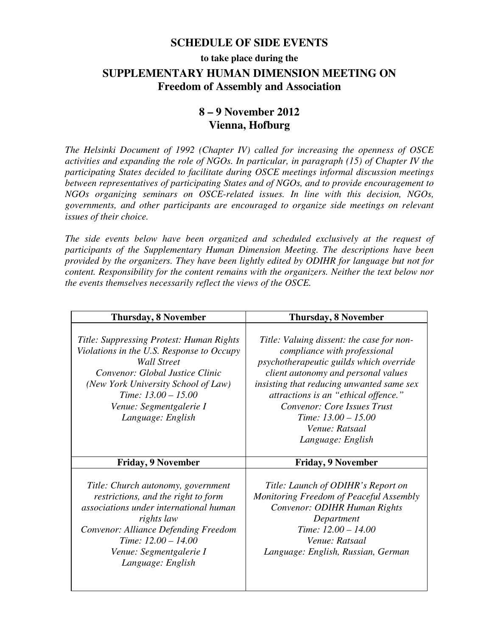### **SCHEDULE OF SIDE EVENTS**

# **to take place during the SUPPLEMENTARY HUMAN DIMENSION MEETING ON Freedom of Assembly and Association**

## **8 – 9 November 2012 Vienna, Hofburg**

*The Helsinki Document of 1992 (Chapter IV) called for increasing the openness of OSCE activities and expanding the role of NGOs. In particular, in paragraph (15) of Chapter IV the participating States decided to facilitate during OSCE meetings informal discussion meetings between representatives of participating States and of NGOs, and to provide encouragement to NGOs organizing seminars on OSCE-related issues. In line with this decision, NGOs, governments, and other participants are encouraged to organize side meetings on relevant issues of their choice.* 

*The side events below have been organized and scheduled exclusively at the request of participants of the Supplementary Human Dimension Meeting. The descriptions have been provided by the organizers. They have been lightly edited by ODIHR for language but not for content. Responsibility for the content remains with the organizers. Neither the text below nor the events themselves necessarily reflect the views of the OSCE.* 

| <b>Thursday, 8 November</b>                                                                                                                                                                                                                                    | <b>Thursday, 8 November</b>                                                                                                                                                                                                                                                                                                                            |
|----------------------------------------------------------------------------------------------------------------------------------------------------------------------------------------------------------------------------------------------------------------|--------------------------------------------------------------------------------------------------------------------------------------------------------------------------------------------------------------------------------------------------------------------------------------------------------------------------------------------------------|
| Title: Suppressing Protest: Human Rights<br>Violations in the U.S. Response to Occupy<br><b>Wall Street</b><br>Convenor: Global Justice Clinic<br>(New York University School of Law)<br>Time: $13.00 - 15.00$<br>Venue: Segmentgalerie I<br>Language: English | Title: Valuing dissent: the case for non-<br>compliance with professional<br>psychotherapeutic guilds which override<br>client autonomy and personal values<br>insisting that reducing unwanted same sex<br>attractions is an "ethical offence."<br><b>Convenor: Core Issues Trust</b><br>Time: $13.00 - 15.00$<br>Venue: Ratsaal<br>Language: English |
| <b>Friday, 9 November</b>                                                                                                                                                                                                                                      | <b>Friday, 9 November</b>                                                                                                                                                                                                                                                                                                                              |
| Title: Church autonomy, government<br>restrictions, and the right to form<br>associations under international human<br>rights law<br>Convenor: Alliance Defending Freedom<br>Time: $12.00 - 14.00$<br>Venue: Segmentgalerie I<br>Language: English             | Title: Launch of ODIHR's Report on<br>Monitoring Freedom of Peaceful Assembly<br>Convenor: ODIHR Human Rights<br>Department<br>Time: 12.00 - 14.00<br>Venue: Ratsaal<br>Language: English, Russian, German                                                                                                                                             |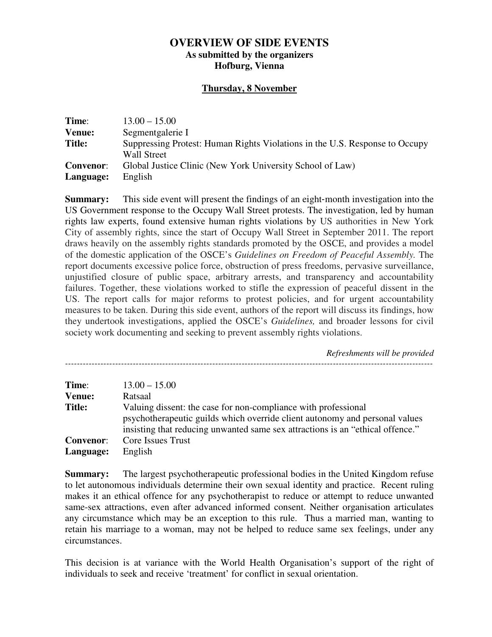#### **OVERVIEW OF SIDE EVENTS As submitted by the organizers Hofburg, Vienna**

#### **Thursday, 8 November**

| Time:            | $13.00 - 15.00$                                                                                   |
|------------------|---------------------------------------------------------------------------------------------------|
| Venue:           | Segmentgalerie I                                                                                  |
| <b>Title:</b>    | Suppressing Protest: Human Rights Violations in the U.S. Response to Occupy<br><b>Wall Street</b> |
| <b>Convenor:</b> | Global Justice Clinic (New York University School of Law)                                         |
| Language:        | English                                                                                           |

**Summary:** This side event will present the findings of an eight-month investigation into the US Government response to the Occupy Wall Street protests. The investigation, led by human rights law experts, found extensive human rights violations by US authorities in New York City of assembly rights, since the start of Occupy Wall Street in September 2011. The report draws heavily on the assembly rights standards promoted by the OSCE, and provides a model of the domestic application of the OSCE's *Guidelines on Freedom of Peaceful Assembly.* The report documents excessive police force, obstruction of press freedoms, pervasive surveillance, unjustified closure of public space, arbitrary arrests, and transparency and accountability failures. Together, these violations worked to stifle the expression of peaceful dissent in the US. The report calls for major reforms to protest policies, and for urgent accountability measures to be taken. During this side event, authors of the report will discuss its findings, how they undertook investigations, applied the OSCE's *Guidelines,* and broader lessons for civil society work documenting and seeking to prevent assembly rights violations.

 *Refreshments will be provided -----------------------------------------------------------------------------------------------------------------------------* 

| Time:            | $13.00 - 15.00$                                                                                                                                                                                                                 |
|------------------|---------------------------------------------------------------------------------------------------------------------------------------------------------------------------------------------------------------------------------|
| <b>Venue:</b>    | Ratsaal                                                                                                                                                                                                                         |
| <b>Title:</b>    | Valuing dissent: the case for non-compliance with professional<br>psychotherapeutic guilds which override client autonomy and personal values<br>insisting that reducing unwanted same sex attractions is an "ethical offence." |
| <b>Convenor:</b> | Core Issues Trust                                                                                                                                                                                                               |
| Language:        | English                                                                                                                                                                                                                         |

**Summary:** The largest psychotherapeutic professional bodies in the United Kingdom refuse to let autonomous individuals determine their own sexual identity and practice. Recent ruling makes it an ethical offence for any psychotherapist to reduce or attempt to reduce unwanted same-sex attractions, even after advanced informed consent. Neither organisation articulates any circumstance which may be an exception to this rule. Thus a married man, wanting to retain his marriage to a woman, may not be helped to reduce same sex feelings, under any circumstances.

This decision is at variance with the World Health Organisation's support of the right of individuals to seek and receive 'treatment' for conflict in sexual orientation.